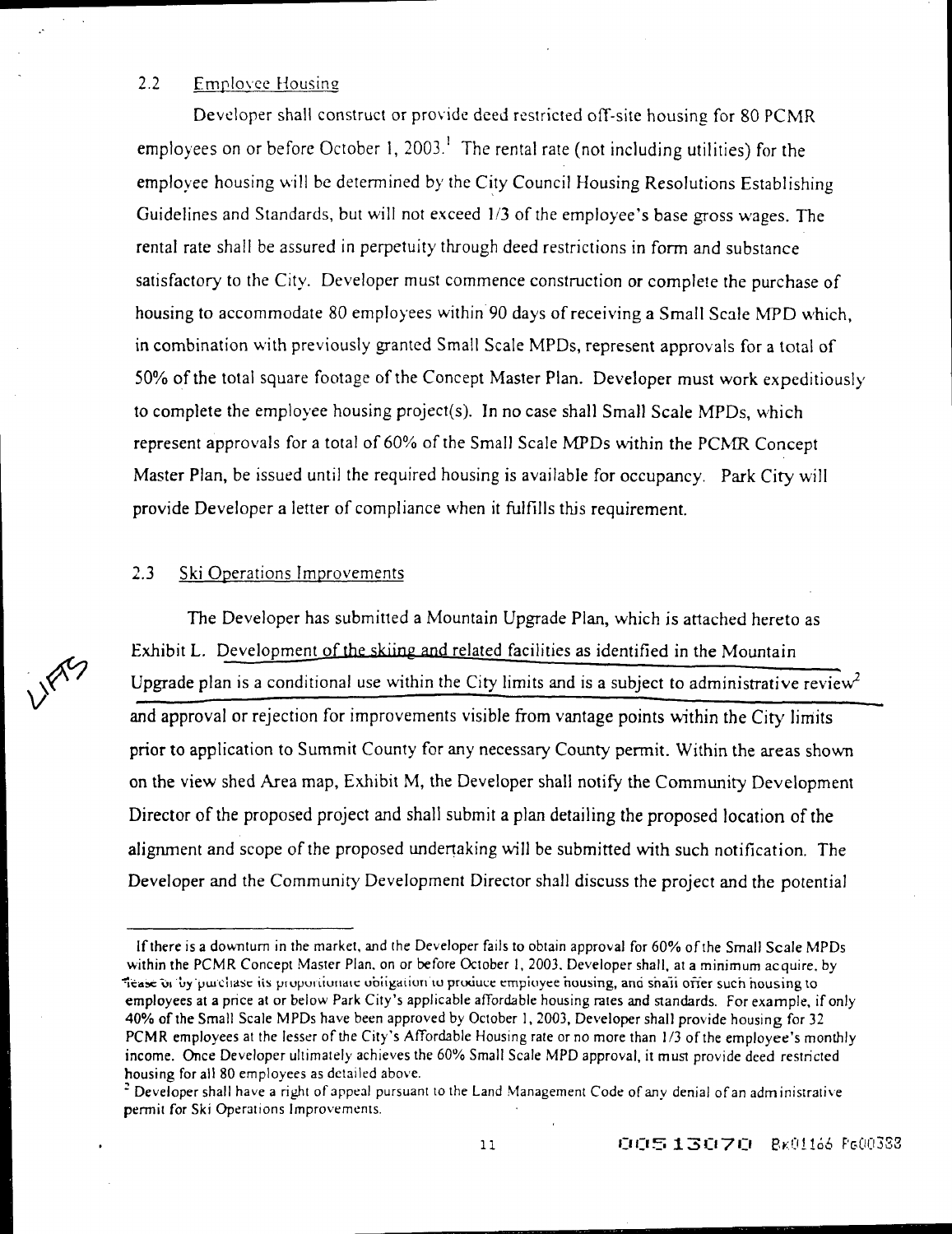## 2.2 Employee Housing

 $\sim 10^{-11}$  .

Developer shall construct or provide deed restricted off-site housing for 80 PCMR employees on or before October 1, 2003.<sup>1</sup> The rental rate (not including utilities) for the emplovee housing will be determined by the City Council Housing Resolutions Establishing Guidelines and Standards, but will not exceed 1/3 of the employee's base gross wages. The rental rate shall be assured in perpetuity through deed restrictions in form and substance satisfactory to the City. Developer must commence construction or complete the purchase of housing to accommodate 80 employees within 90 days of receiving a Small Scale MPD which, in combination with previously granted Small Scale MPDs, represent approvals for a total of 50% of the total square footage of the Concept Master Plan. Developer must work expeditiously to complete the employee housing project(s). In no case shall Small Scale MPDs, which represent approvals for a total of  $60\%$  of the Small Scale MPDs within the PCMR Concept Master Plan, be issued until the required housing is available for occupancy. Park City will provide Developer a letter of compliance when it fulfills this requirement.

## 2.3 Ski Operations Improvements

The Developer has submitted a Mountain Upgrade Plan, which is attached hereto as Exhibit L. Development of the skiing and related facilities as identified in the Mountain Upgrade plan is a conditional use within the City limits and is a subject to administrative review<sup>2</sup> and approval or rejection for improvements visible from vantage points within the City limits prior to application to Summit County for any necessary County permit. Within the areas shown on the view shed Area map, Exhibit M, the Developer shall notify the Community Development Director of the proposed project and shall submit a plan detailing the proposed location of the alignment and scope of the proposed undertaking will be submitted with such notification. The Developer and the Community Development Director shall discuss the project and the potential



If there is a downturn in the market, and the Developer fails to obtain approval for 60% of the Small Scale MPDs within the PCMR Concept Master Plan. on or before October I, 2003. Developer shall, at a minimum acquire. by Tease or by purchase its proportionate obligation to produce employee housing, and shall offer such housing to employees at a price at or below Park City's applicable affordable housing rates and standards. For example, if only 40% of the Small Scale MPDs have been approved by October I, 2003, Developer shall provide housing for 32 PCMR employees at the lesser of the City's Affordable Housing rate or no more than 1/3 of the employee's monthly income. Once Developer ultimately achieves the 60% Small Scale MPD approval, it must provide deed restricted housing for all 80 employees as detailed above.

<sup>&</sup>lt;sup>2</sup> Developer shall have a right of appeal pursuant to the Land Management Code of any denial of an administrative permit for Ski Operations Improvements.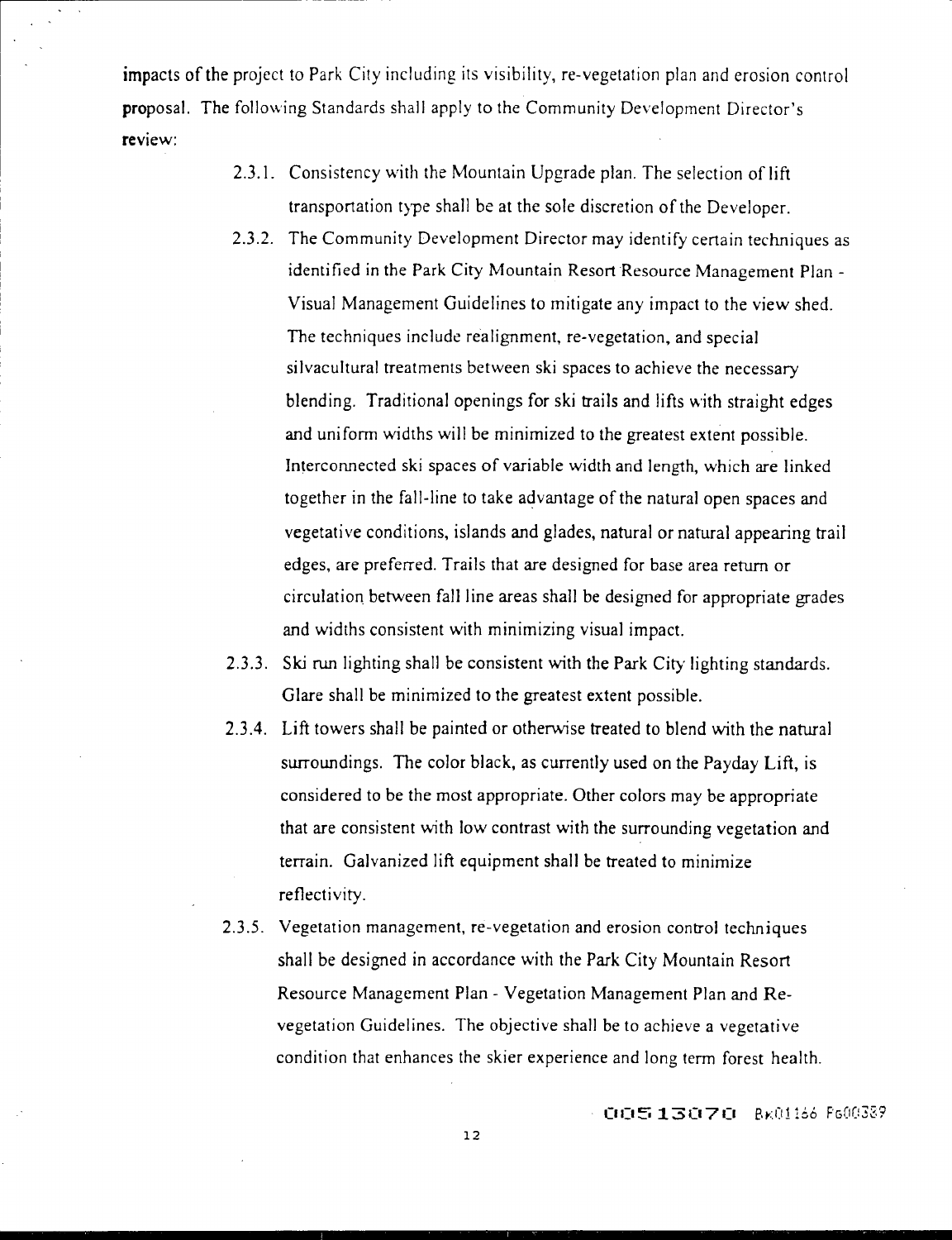impacts of the project to Park City including its visibility, re-vegetation plan and erosion control proposal. The following Standards shall apply to the Community Development Director's review:

- 2.3.1. Consistency with the Mountain Upgrade plan. The selection of lift transportation type shall be at the sole discretion of the Developer.
- 2.3.2. The Community Development Director may identify certain techniques as identified in the Park City Mountain Resort Resource Management Plan - Visual Management Guidelines to mitigate any impact to the view shed. The techniques include realignment, re-vegetation, and special silvacultural treatments between ski spaces to achieve the necessary blending. Traditional openings for ski trails and lifts with straight edges and uniform widths will be minimized to the greatest extent possible. Interconnected ski spaces of variable width and length, which are linked together in the fall-line to take advantage of the natural open spaces and vegetative conditions, islands and glades, natural or natural appearing trail edges, are preferred. Trails that are designed for base area return or circulation between fall line areas shall be designed for appropriate grades and widths consistent with minimizing visual impact.
- 2.3.3. Ski run lighting shall be consistent with the Park City lighting standards. Glare shall be minimized to the greatest extent possible.
- 2.3.4. Lift towers shall be painted or otherwise treated to blend with the natural surroundings. The color black, as currently used on the Payday Lift, is considered to be the most appropriate. Other colors may be appropriate that are consistent with low contrast with the surrounding vegetation and terrain. Galvanized lift equipment shall be treated to minimize reflectivity.
- 2.3.5. Vegetation management, re-vegetation and erosion control techniques shall be designed in accordance with the Park City Mountain Resort Resource Management Plan - Vegetation Management Plan and Revegetation Guidelines. The objective shall be to achieve a vegetative condition that enhances the skier experience and long term forest health.

 $+$  009513070  $-$  8x01166 F600389